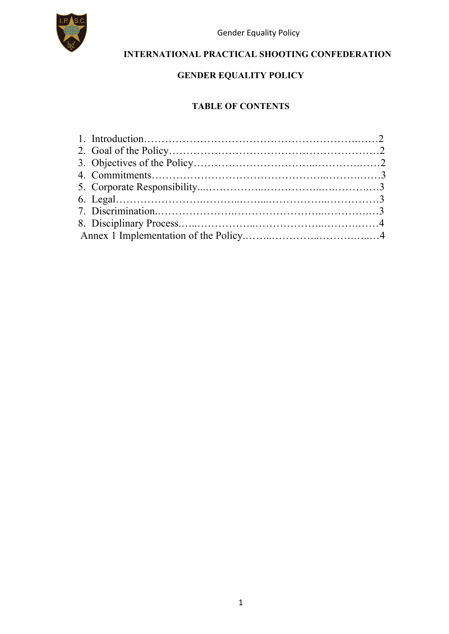

Gender Equality Policy

### **INTERNATIONAL PRACTICAL SHOOTING CONFEDERATION**

### **GENDER EQUALITY POLICY**

#### **TABLE OF CONTENTS**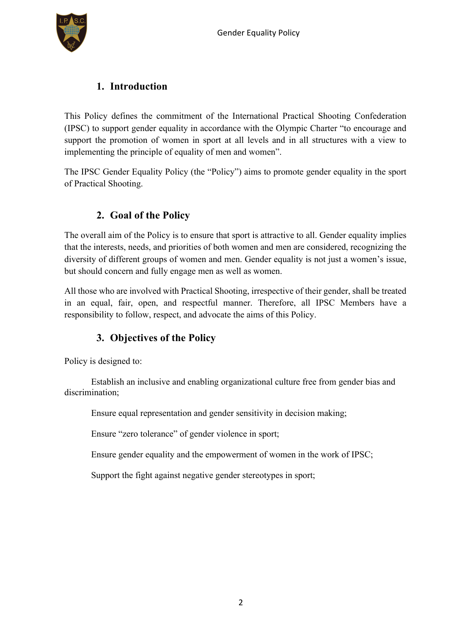

### **1. Introduction**

This Policy defines the commitment of the International Practical Shooting Confederation (IPSC) to support gender equality in accordance with the Olympic Charter "to encourage and support the promotion of women in sport at all levels and in all structures with a view to implementing the principle of equality of men and women".

The IPSC Gender Equality Policy (the "Policy") aims to promote gender equality in the sport of Practical Shooting.

## **2. Goal of the Policy**

The overall aim of the Policy is to ensure that sport is attractive to all. Gender equality implies that the interests, needs, and priorities of both women and men are considered, recognizing the diversity of different groups of women and men. Gender equality is not just a women's issue, but should concern and fully engage men as well as women.

All those who are involved with Practical Shooting, irrespective of their gender, shall be treated in an equal, fair, open, and respectful manner. Therefore, all IPSC Members have a responsibility to follow, respect, and advocate the aims of this Policy.

### **3. Objectives of the Policy**

Policy is designed to:

 Establish an inclusive and enabling organizational culture free from gender bias and discrimination;

Ensure equal representation and gender sensitivity in decision making;

Ensure "zero tolerance" of gender violence in sport;

Ensure gender equality and the empowerment of women in the work of IPSC;

Support the fight against negative gender stereotypes in sport;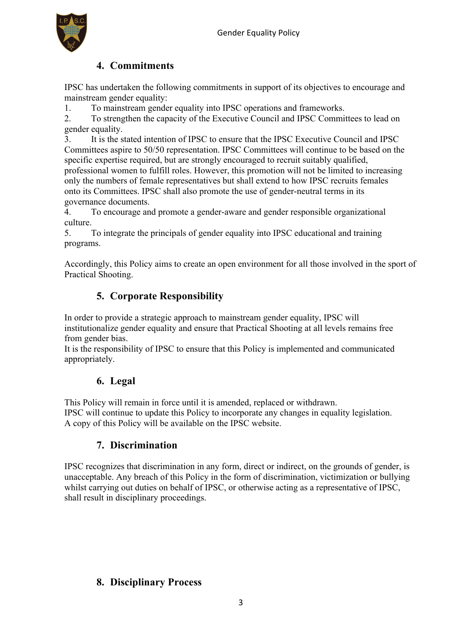

# **4. Commitments**

IPSC has undertaken the following commitments in support of its objectives to encourage and mainstream gender equality:

1. To mainstream gender equality into IPSC operations and frameworks.

2. To strengthen the capacity of the Executive Council and IPSC Committees to lead on gender equality.

3. It is the stated intention of IPSC to ensure that the IPSC Executive Council and IPSC Committees aspire to 50/50 representation. IPSC Committees will continue to be based on the specific expertise required, but are strongly encouraged to recruit suitably qualified, professional women to fulfill roles. However, this promotion will not be limited to increasing only the numbers of female representatives but shall extend to how IPSC recruits females onto its Committees. IPSC shall also promote the use of gender-neutral terms in its governance documents.

4. To encourage and promote a gender-aware and gender responsible organizational culture.

5. To integrate the principals of gender equality into IPSC educational and training programs.

Accordingly, this Policy aims to create an open environment for all those involved in the sport of Practical Shooting.

## **5. Corporate Responsibility**

In order to provide a strategic approach to mainstream gender equality, IPSC will institutionalize gender equality and ensure that Practical Shooting at all levels remains free from gender bias.

It is the responsibility of IPSC to ensure that this Policy is implemented and communicated appropriately.

### **6. Legal**

This Policy will remain in force until it is amended, replaced or withdrawn.

IPSC will continue to update this Policy to incorporate any changes in equality legislation. A copy of this Policy will be available on the IPSC website.

### **7. Discrimination**

IPSC recognizes that discrimination in any form, direct or indirect, on the grounds of gender, is unacceptable. Any breach of this Policy in the form of discrimination, victimization or bullying whilst carrying out duties on behalf of IPSC, or otherwise acting as a representative of IPSC, shall result in disciplinary proceedings.

### **8. Disciplinary Process**